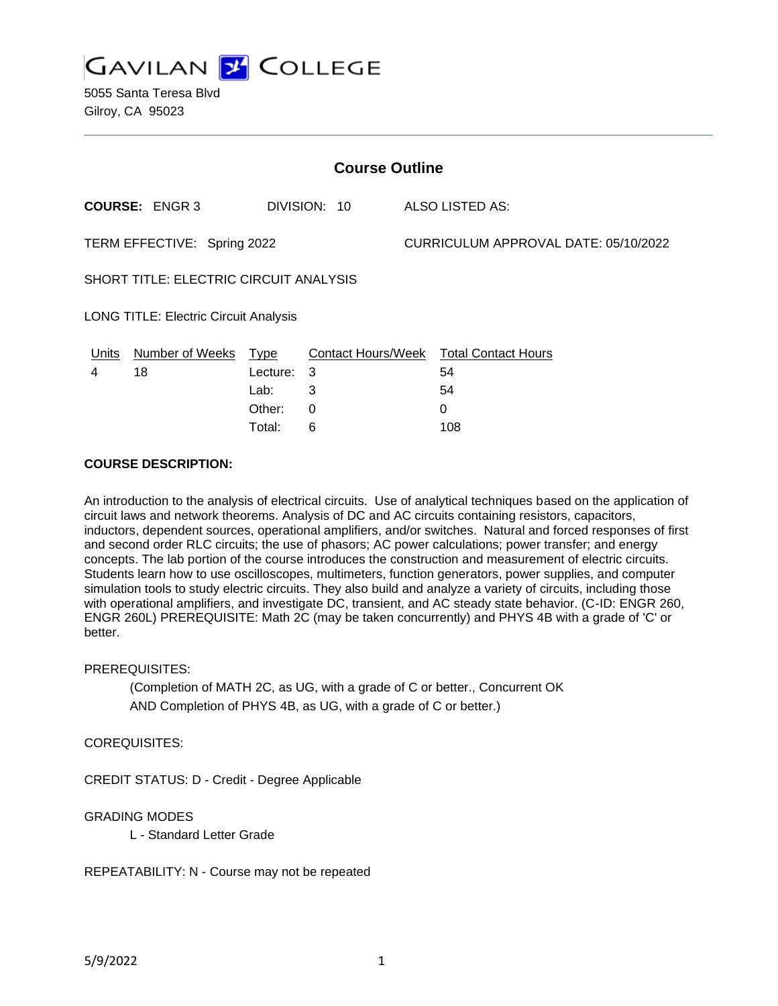

5055 Santa Teresa Blvd Gilroy, CA 95023

| <b>Course Outline</b>                        |                      |          |              |  |                                        |  |
|----------------------------------------------|----------------------|----------|--------------|--|----------------------------------------|--|
|                                              | <b>COURSE: ENGR3</b> |          | DIVISION: 10 |  | ALSO LISTED AS:                        |  |
| TERM EFFECTIVE: Spring 2022                  |                      |          |              |  | CURRICULUM APPROVAL DATE: 05/10/2022   |  |
| SHORT TITLE: ELECTRIC CIRCUIT ANALYSIS       |                      |          |              |  |                                        |  |
| <b>LONG TITLE: Electric Circuit Analysis</b> |                      |          |              |  |                                        |  |
| Units                                        | Number of Weeks      | Type     |              |  | Contact Hours/Week Total Contact Hours |  |
| 4                                            | 18                   | Lecture: | 3            |  | 54                                     |  |
|                                              |                      | Lab:     | 3            |  | 54                                     |  |
|                                              |                      | Other:   | 0            |  | 0                                      |  |
|                                              |                      | Total:   | 6            |  | 108                                    |  |

#### **COURSE DESCRIPTION:**

An introduction to the analysis of electrical circuits. Use of analytical techniques based on the application of circuit laws and network theorems. Analysis of DC and AC circuits containing resistors, capacitors, inductors, dependent sources, operational amplifiers, and/or switches. Natural and forced responses of first and second order RLC circuits; the use of phasors; AC power calculations; power transfer; and energy concepts. The lab portion of the course introduces the construction and measurement of electric circuits. Students learn how to use oscilloscopes, multimeters, function generators, power supplies, and computer simulation tools to study electric circuits. They also build and analyze a variety of circuits, including those with operational amplifiers, and investigate DC, transient, and AC steady state behavior. (C-ID: ENGR 260, ENGR 260L) PREREQUISITE: Math 2C (may be taken concurrently) and PHYS 4B with a grade of 'C' or better.

#### PREREQUISITES:

(Completion of MATH 2C, as UG, with a grade of C or better., Concurrent OK AND Completion of PHYS 4B, as UG, with a grade of C or better.)

### COREQUISITES:

CREDIT STATUS: D - Credit - Degree Applicable

### GRADING MODES

L - Standard Letter Grade

REPEATABILITY: N - Course may not be repeated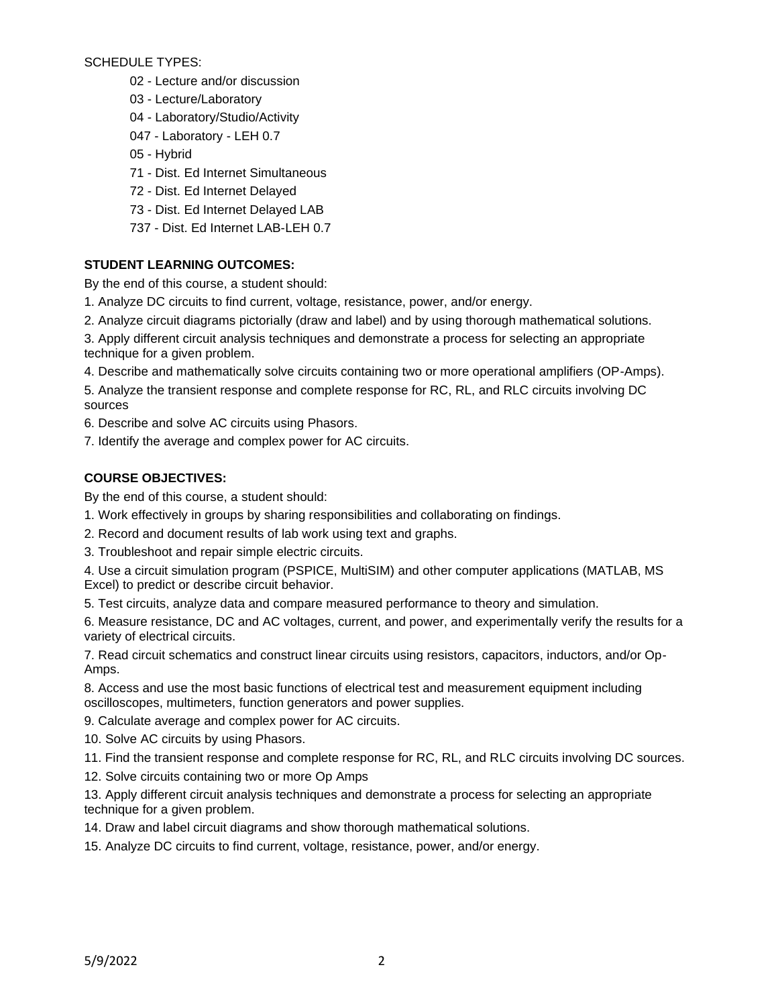SCHEDULE TYPES:

- 02 Lecture and/or discussion
- 03 Lecture/Laboratory
- 04 Laboratory/Studio/Activity
- 047 Laboratory LEH 0.7
- 05 Hybrid
- 71 Dist. Ed Internet Simultaneous
- 72 Dist. Ed Internet Delayed
- 73 Dist. Ed Internet Delayed LAB
- 737 Dist. Ed Internet LAB-LEH 0.7

## **STUDENT LEARNING OUTCOMES:**

By the end of this course, a student should:

- 1. Analyze DC circuits to find current, voltage, resistance, power, and/or energy.
- 2. Analyze circuit diagrams pictorially (draw and label) and by using thorough mathematical solutions.

3. Apply different circuit analysis techniques and demonstrate a process for selecting an appropriate technique for a given problem.

4. Describe and mathematically solve circuits containing two or more operational amplifiers (OP-Amps).

5. Analyze the transient response and complete response for RC, RL, and RLC circuits involving DC sources

6. Describe and solve AC circuits using Phasors.

7. Identify the average and complex power for AC circuits.

# **COURSE OBJECTIVES:**

By the end of this course, a student should:

- 1. Work effectively in groups by sharing responsibilities and collaborating on findings.
- 2. Record and document results of lab work using text and graphs.

3. Troubleshoot and repair simple electric circuits.

4. Use a circuit simulation program (PSPICE, MultiSIM) and other computer applications (MATLAB, MS Excel) to predict or describe circuit behavior.

5. Test circuits, analyze data and compare measured performance to theory and simulation.

6. Measure resistance, DC and AC voltages, current, and power, and experimentally verify the results for a variety of electrical circuits.

7. Read circuit schematics and construct linear circuits using resistors, capacitors, inductors, and/or Op-Amps.

8. Access and use the most basic functions of electrical test and measurement equipment including oscilloscopes, multimeters, function generators and power supplies.

9. Calculate average and complex power for AC circuits.

10. Solve AC circuits by using Phasors.

11. Find the transient response and complete response for RC, RL, and RLC circuits involving DC sources.

12. Solve circuits containing two or more Op Amps

13. Apply different circuit analysis techniques and demonstrate a process for selecting an appropriate technique for a given problem.

14. Draw and label circuit diagrams and show thorough mathematical solutions.

15. Analyze DC circuits to find current, voltage, resistance, power, and/or energy.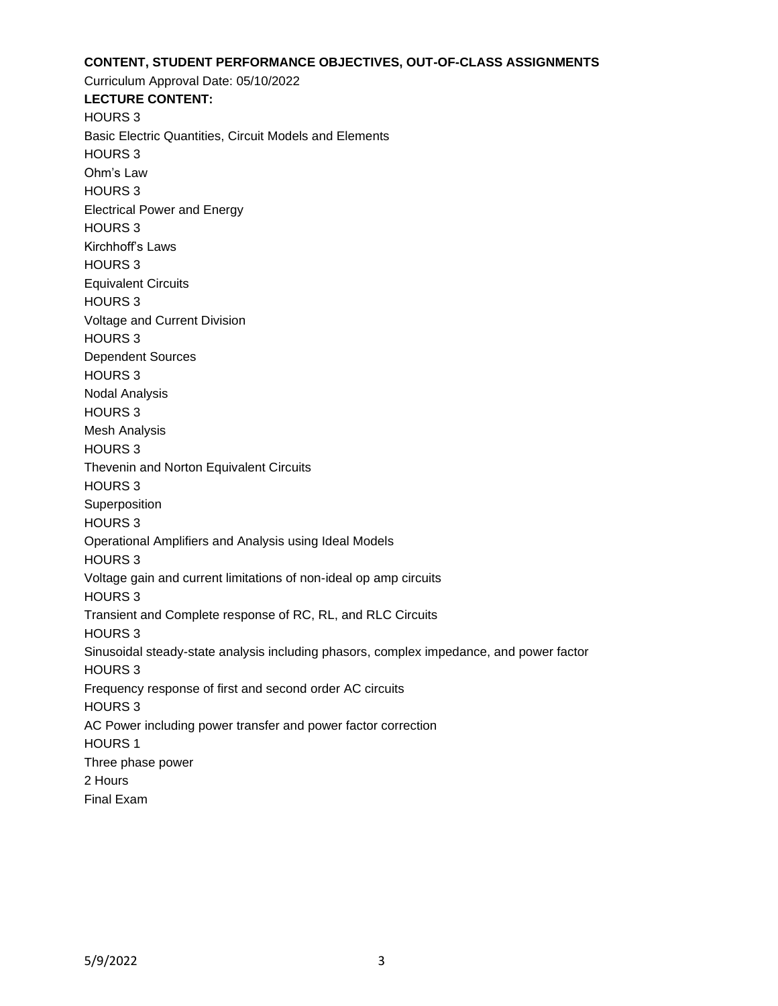### **CONTENT, STUDENT PERFORMANCE OBJECTIVES, OUT-OF-CLASS ASSIGNMENTS**

Curriculum Approval Date: 05/10/2022 **LECTURE CONTENT:** HOURS 3 Basic Electric Quantities, Circuit Models and Elements HOURS 3 Ohm's Law HOURS 3 Electrical Power and Energy HOURS 3 Kirchhoff's Laws HOURS 3 Equivalent Circuits HOURS 3 Voltage and Current Division HOURS 3 Dependent Sources HOURS 3 Nodal Analysis HOURS 3 Mesh Analysis HOURS 3 Thevenin and Norton Equivalent Circuits HOURS 3 Superposition HOURS 3 Operational Amplifiers and Analysis using Ideal Models HOURS 3 Voltage gain and current limitations of non-ideal op amp circuits HOURS 3 Transient and Complete response of RC, RL, and RLC Circuits HOURS 3 Sinusoidal steady-state analysis including phasors, complex impedance, and power factor HOURS 3 Frequency response of first and second order AC circuits HOURS 3 AC Power including power transfer and power factor correction HOURS 1 Three phase power 2 Hours Final Exam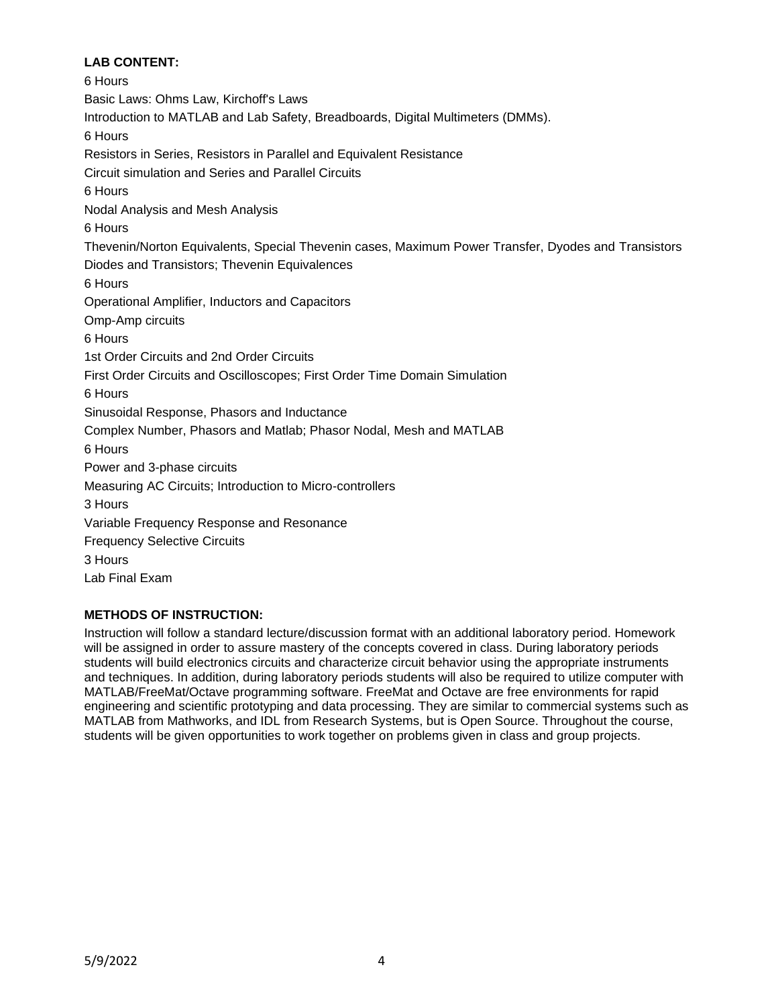# **LAB CONTENT:**

6 Hours Basic Laws: Ohms Law, Kirchoff's Laws Introduction to MATLAB and Lab Safety, Breadboards, Digital Multimeters (DMMs). 6 Hours Resistors in Series, Resistors in Parallel and Equivalent Resistance Circuit simulation and Series and Parallel Circuits 6 Hours Nodal Analysis and Mesh Analysis 6 Hours Thevenin/Norton Equivalents, Special Thevenin cases, Maximum Power Transfer, Dyodes and Transistors Diodes and Transistors; Thevenin Equivalences 6 Hours Operational Amplifier, Inductors and Capacitors Omp-Amp circuits 6 Hours 1st Order Circuits and 2nd Order Circuits First Order Circuits and Oscilloscopes; First Order Time Domain Simulation 6 Hours Sinusoidal Response, Phasors and Inductance Complex Number, Phasors and Matlab; Phasor Nodal, Mesh and MATLAB 6 Hours Power and 3-phase circuits Measuring AC Circuits; Introduction to Micro-controllers 3 Hours Variable Frequency Response and Resonance Frequency Selective Circuits 3 Hours Lab Final Exam

# **METHODS OF INSTRUCTION:**

Instruction will follow a standard lecture/discussion format with an additional laboratory period. Homework will be assigned in order to assure mastery of the concepts covered in class. During laboratory periods students will build electronics circuits and characterize circuit behavior using the appropriate instruments and techniques. In addition, during laboratory periods students will also be required to utilize computer with MATLAB/FreeMat/Octave programming software. FreeMat and Octave are free environments for rapid engineering and scientific prototyping and data processing. They are similar to commercial systems such as MATLAB from Mathworks, and IDL from Research Systems, but is Open Source. Throughout the course, students will be given opportunities to work together on problems given in class and group projects.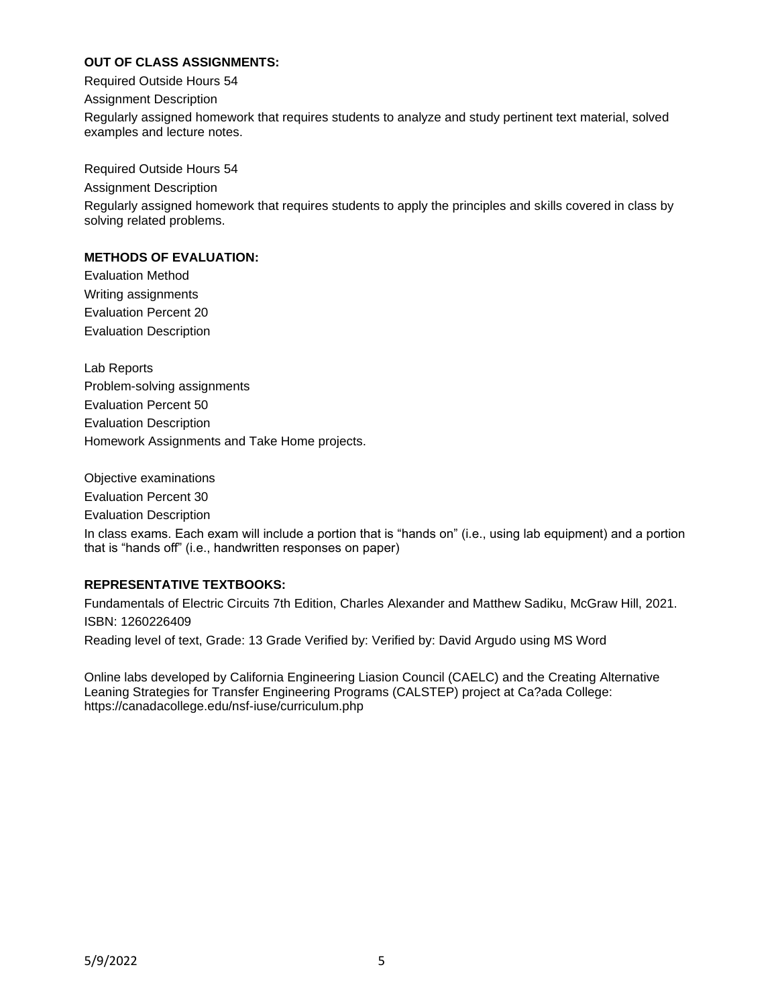## **OUT OF CLASS ASSIGNMENTS:**

Required Outside Hours 54

Assignment Description

Regularly assigned homework that requires students to analyze and study pertinent text material, solved examples and lecture notes.

Required Outside Hours 54

Assignment Description

Regularly assigned homework that requires students to apply the principles and skills covered in class by solving related problems.

### **METHODS OF EVALUATION:**

Evaluation Method Writing assignments Evaluation Percent 20 Evaluation Description

Lab Reports Problem-solving assignments Evaluation Percent 50 Evaluation Description Homework Assignments and Take Home projects.

Objective examinations Evaluation Percent 30 Evaluation Description In class exams. Each exam will include a portion that is "hands on" (i.e., using lab equipment) and a portion that is "hands off" (i.e., handwritten responses on paper)

### **REPRESENTATIVE TEXTBOOKS:**

Fundamentals of Electric Circuits 7th Edition, Charles Alexander and Matthew Sadiku, McGraw Hill, 2021. ISBN: 1260226409

Reading level of text, Grade: 13 Grade Verified by: Verified by: David Argudo using MS Word

Online labs developed by California Engineering Liasion Council (CAELC) and the Creating Alternative Leaning Strategies for Transfer Engineering Programs (CALSTEP) project at Ca?ada College: https://canadacollege.edu/nsf-iuse/curriculum.php